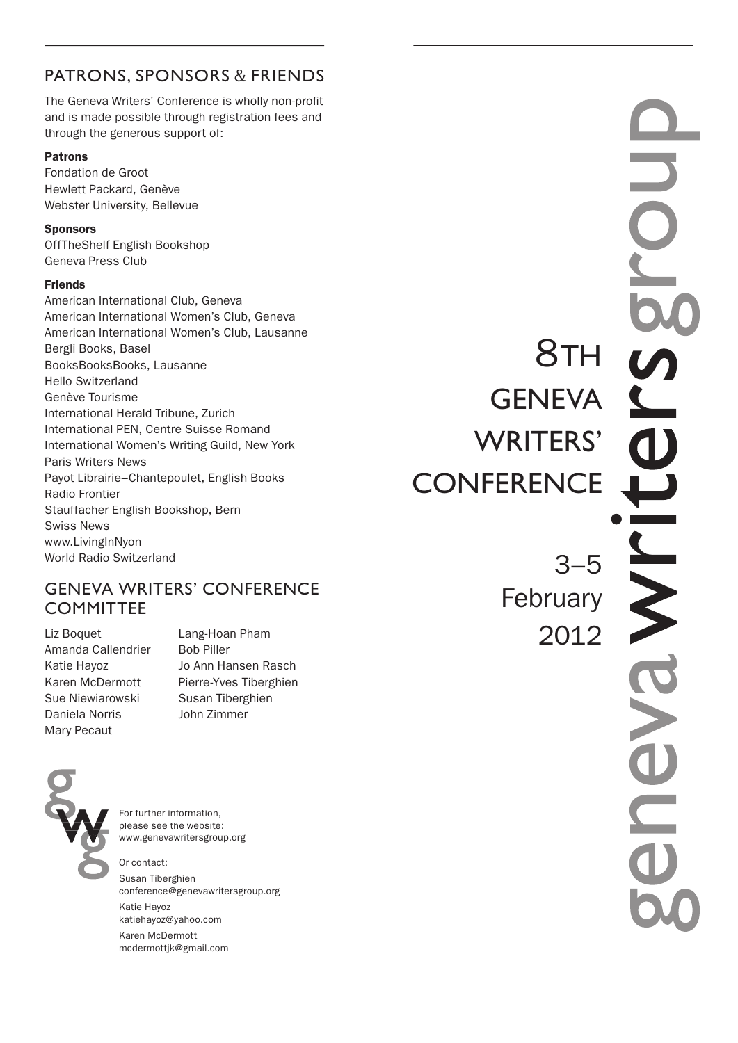# PATRONS, SPONSORS & FRIENDS

The Geneva Writers' Conference is wholly non-profit and is made possible through registration fees and through the generous support of:

#### Patrons

Fondation de Groot Hewlett Packard, Genève Webster University, Bellevue

#### **Sponsors**

OffTheShelf English Bookshop Geneva Press Club

#### Friends

American International Club, Geneva American International Women's Club, Geneva American International Women's Club, Lausanne Bergli Books, Basel BooksBooksBooks, Lausanne Hello Switzerland Genève Tourisme International Herald Tribune, Zurich International PEN, Centre Suisse Romand International Women's Writing Guild, New York Paris Writers News Payot Librairie–Chantepoulet, English Books Radio Frontier Stauffacher English Bookshop, Bern Swiss News www.LivingInNyon World Radio Switzerland

# GENEVA WRITERS' CONFERENCE **COMMITTEE**

Liz Boquet Lang-Hoan Pham Amanda Callendrier Bob Piller Sue Niewiarowski Susan Tiberghien Daniela Norris John Zimmer Mary Pecaut

Katie Hayoz Jo Ann Hansen Rasch Karen McDermott Pierre-Yves Tiberghien



For further information, please see the website: www.genevawritersgroup.org

Or contact: Susan Tiberghien conference@genevawritersgroup.org Katie Hayoz katiehayoz@yahoo.com Karen McDermott mcdermottjk@gmail.com

8TH **GENEVA** WRITERS' **CONFERENCE** 

> 3–5 February 2012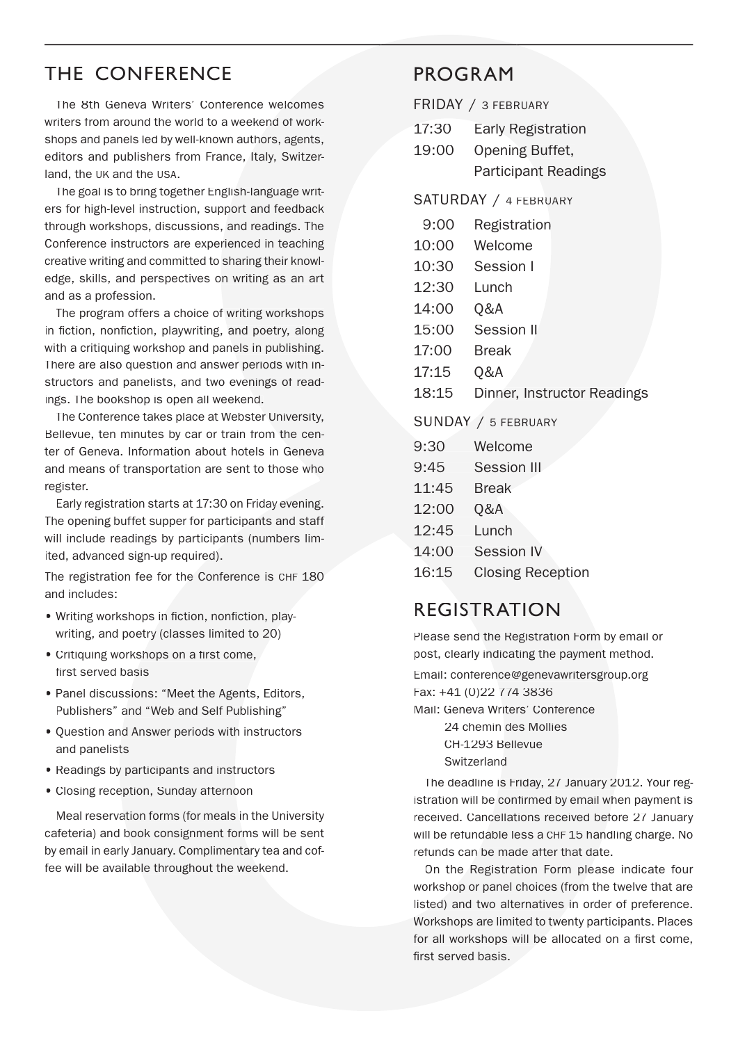# THE CONFERENCE

The 8th Geneva Writers' Conference welcomes writers from around the world to a weekend of workshops and panels led by well-known authors, agents, editors and publishers from France, Italy, Switzerland, the UK and the USA.

The goal is to bring together English-language writers for high-level instruction, support and feedback through workshops, discussions, and readings. The Conference instructors are experienced in teaching creative writing and committed to sharing their knowledge, skills, and perspectives on writing as an art and as a profession.

The program offers a choice of writing workshops in fiction, nonfiction, playwriting, and poetry, along with a critiquing workshop and panels in publishing. There are also question and answer periods with instructors and panelists, and two evenings of readings. The bookshop is open all weekend.

The Conference takes place at Webster University, Bellevue, ten minutes by car or train from the center of Geneva. Information about hotels in Geneva and means of transportation are sent to those who register.

Early registration starts at 17:30 on Friday evening. The opening buffet supper for participants and staff will include readings by participants (numbers limited, advanced sign-up required).

The registration fee for the Conference is CHF 180 and includes:

- Writing workshops in fiction, nonfiction, playwriting, and poetry (classes limited to 20)
- Critiquing workshops on a first come, first served basis
- Panel discussions: "Meet the Agents, Editors, Publishers" and "Web and Self Publishing"
- Question and Answer periods with instructors and panelists
- Readings by participants and instructors
- Closing reception, Sunday afternoon

Meal reservation forms (for meals in the University cafeteria) and book consignment forms will be sent by email in early January. Complimentary tea and coffee will be available throughout the weekend.

# PROGRAM

FRIDAY / 3 FEBRUARY

- 17:30 Early Registration
- 19:00 Opening Buffet, Participant Readings

#### SATURDAY / 4 FEBRUARY

| 9:00  | Registration                |
|-------|-----------------------------|
| 10:00 | Welcome                     |
| 10:30 | Session I                   |
| 12:30 | Lunch                       |
| 14:00 | Q&A                         |
| 15:00 | Session II                  |
| 17:00 | Break                       |
| 17:15 | Q&A                         |
| 18:15 | Dinner, Instructor Readings |
|       |                             |

SUNDAY / 5 FEBRUARY

| 9:30 | Welcome            |
|------|--------------------|
| 9:45 | <b>Session III</b> |

- 
- 11:45 Break
- 12:00 Q&A
- 12:45 Lunch
- 14:00 Session IV
- 16:15 Closing Reception

# REGISTRATION

Please send the Registration Form by email or post, clearly indicating the payment method.

Email: conference@genevawritersgroup.org Fax: +41 (0)22 774 3836

Mail: Geneva Writers' Conference 24 chemin des Mollies CH-1293 Bellevue **Switzerland** 

The deadline is Friday, 27 January 2012. Your registration will be confirmed by email when payment is received. Cancellations received before 27 January will be refundable less a CHF15 handling charge. No refunds can be made after that date.

On the Registration Form please indicate four workshop or panel choices (from the twelve that are listed) and two alternatives in order of preference. Workshops are limited to twenty participants. Places for all workshops will be allocated on a first come. first served basis.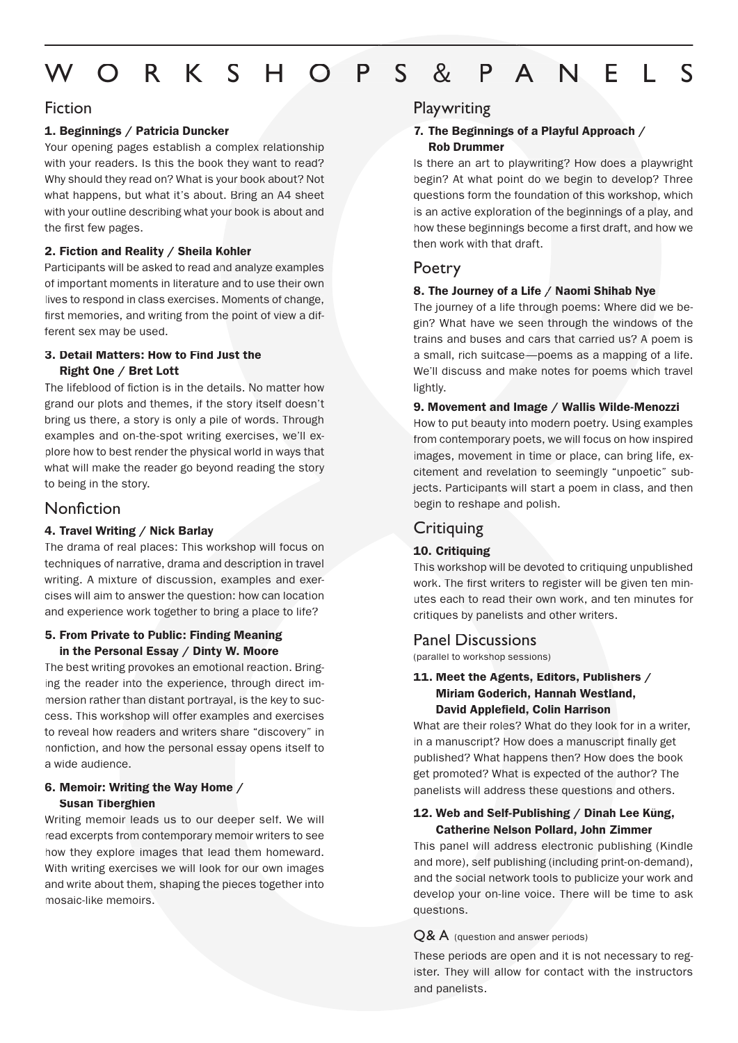# W O R K S H O P S & P A N E L S

#### Fiction

#### 1. Beginnings / Patricia Duncker

Your opening pages establish a complex relationship with your readers. Is this the book they want to read? Why should they read on? What is your book about? Not what happens, but what it's about. Bring an A4 sheet with your outline describing what your book is about and the first few pages.

#### 2. Fiction and Reality / Sheila Kohler

Participants will be asked to read and analyze examples of important moments in literature and to use their own lives to respond in class exercises. Moments of change, first memories, and writing from the point of view a different sex may be used.

#### 3. Detail Matters: How to Find Just the Right One / Bret Lott

The lifeblood of fiction is in the details. No matter how grand our plots and themes, if the story itself doesn't bring us there, a story is only a pile of words. Through examples and on-the-spot writing exercises, we'll explore how to best render the physical world in ways that what will make the reader go beyond reading the story to being in the story.

## Nonfiction

#### 4. Travel Writing / Nick Barlay

The drama of real places: This workshop will focus on techniques of narrative, drama and description in travel writing. A mixture of discussion, examples and exercises will aim to answer the question: how can location and experience work together to bring a place to life?

#### 5. From Private to Public: Finding Meaning in the Personal Essay / Dinty W. Moore

The best writing provokes an emotional reaction. Bringing the reader into the experience, through direct immersion rather than distant portrayal, is the key to success. This workshop will offer examples and exercises to reveal how readers and writers share "discovery" in nonfiction, and how the personal essay opens itself to a wide audience.

#### 6. Memoir: Writing the Way Home / Susan Tiberghien

Writing memoir leads us to our deeper self. We will read excerpts from contemporary memoir writers to see how they explore images that lead them homeward. With writing exercises we will look for our own images and write about them, shaping the pieces together into mosaic-like memoirs.

#### **Playwriting**

#### 7. The Beginnings of a Playful Approach / Rob Drummer

Is there an art to playwriting? How does a playwright begin? At what point do we begin to develop? Three questions form the foundation of this workshop, which is an active exploration of the beginnings of a play, and how these beginnings become a first draft, and how we then work with that draft.

### Poetry

#### 8. The Journey of a Life / Naomi Shihab Nye

The journey of a life through poems: Where did we begin? What have we seen through the windows of the trains and buses and cars that carried us? A poem is a small, rich suitcase—poems as a mapping of a life. We'll discuss and make notes for poems which travel lightly.

#### 9. Movement and Image / Wallis Wilde-Menozzi

How to put beauty into modern poetry. Using examples from contemporary poets, we will focus on how inspired images, movement in time or place, can bring life, excitement and revelation to seemingly "unpoetic" subjects. Participants will start a poem in class, and then begin to reshape and polish.

## **Critiquing**

#### 10. Critiquing

This workshop will be devoted to critiquing unpublished work. The first writers to register will be given ten minutes each to read their own work, and ten minutes for critiques by panelists and other writers.

#### Panel Discussions

(parallel to workshop sessions)

#### 11. Meet the Agents, Editors, Publishers / Miriam Goderich, Hannah Westland, David Applefield, Colin Harrison

What are their roles? What do they look for in a writer, in a manuscript? How does a manuscript finally get published? What happens then? How does the book get promoted? What is expected of the author? The panelists will address these questions and others.

#### 12. Web and Self-Publishing / Dinah Lee Küng, Catherine Nelson Pollard, John Zimmer

This panel will address electronic publishing (Kindle and more), self publishing (including print-on-demand), and the social network tools to publicize your work and develop your on-line voice. There will be time to ask questions.

#### Q& A (question and answer periods)

These periods are open and it is not necessary to register. They will allow for contact with the instructors and panelists.